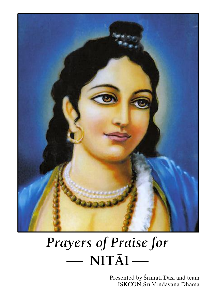

# Prayers of Praise for  $NIT\bar{A}I$  —

-Presented by Śrīmatī Dāsī and team ISKCON, Śrī Vŗndāvana Dhāma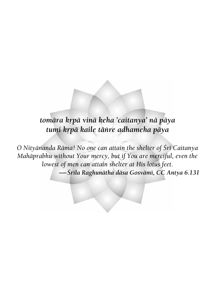#### tomāra krpā vinā keha 'caitanya' nā pāya tumi krpā kaile tānre adhameha pāya

O Nityānanda Rāma! No one can attain the shelter of Śrī Caitanya Mahāprabhu without Your mercy, but if You are merciful, even the lowest of men can attain shelter at His lotus feet. -Śrīla Raghunātha dāsa Gosvāmī, CC Antya 6.131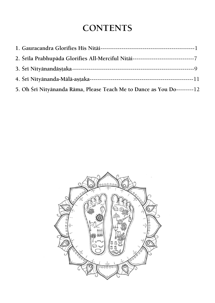### **CONTENTS**

| 2. Srīla Prabhupāda Glorifies All-Merciful Nitāi---------------------------------7 |  |
|------------------------------------------------------------------------------------|--|
|                                                                                    |  |
|                                                                                    |  |
| 5. Oh Śrī Nityānanda Rāma, Please Teach Me to Dance as You Do---------12           |  |

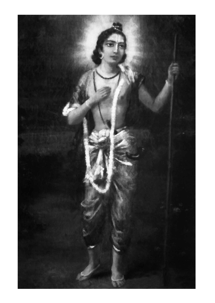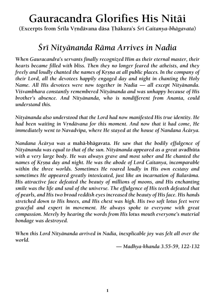# **Gauracandra Glorifies His Nitäi**

**(Excerpts from Çréla Våndävana däsa Öhäkura's** *Çré Caitanya-bhägavata***)**

#### *Çré Nityänanda Räma Arrives in Nadia*

*When Gauracandra's servants finally recognized Him as their eternal master, their hearts became filled with bliss. Then they no longer feared the atheists, and they freely and loudly chanted the names of Krsna at all public places. In the company of their Lord, all the devotees happily engaged day and night in chanting the Holy Name. All His devotees were now together in Nadia — all except Nityänanda. Viçvambhara constantly remembered Nityänanda and was unhappy because of His brother's absence. And Nityänanda, who is nondifferent from Ananta, could understand this.*

*Nityänanda also understood that the Lord had now manifested His true identity. He*  had been waiting in Vrndävana for this moment. And now that it had come, He *immediately went to Navadvépa, where He stayed at the house of Nandana Äcärya.*

*Nandana Äcärya was a* **mahä-bhägavata***. He saw that the bodily effulgence of Nityänanda was equal to that of the sun. Nityänanda appeared as a great* **avadhüta** *with a very large body. He was always grave and most sober and He chanted the*  names of Krsna day and night. He was the abode of Lord Caitanya, incomparable *within the three worlds. Sometimes He roared loudly in His own ecstasy and sometimes He appeared greatly intoxicated, just like an incarnation of Balaräma. His attractive face defeated the beauty of millions of moons, and His enchanting smile was the life and soul of the universe. The effulgence of His teeth defeated that of pearls, and His two broad reddish eyes increased the beauty of His face. His hands stretched down to His knees, and His chest was high. His two soft lotus feet were graceful and expert in movement. He always spoke to everyone with great compassion. Merely by hearing the words from His lotus mouth everyone's material bondage was destroyed.*

*When this Lord Nityänanda arrived in Nadia, inexplicable joy was felt all over the world.*

**—** *Madhya-khanda 3.55-59, 122-132*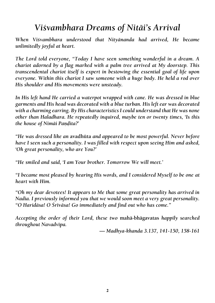### *Viçvambhara Dreams of Nitäi's Arrival*

*When Viçvambhara understood that Nityänanda had arrived, He became unlimitedly joyful at heart.*

*The Lord told everyone, "Today I have seen something wonderful in a dream. A chariot adorned by a flag marked with a palm tree arrived at My doorstep. This transcendental chariot itself is expert in bestowing the essential goal of life upon everyone. Within this chariot I saw someone with a huge body. He held a rod over His shoulder and His movements were unsteady.*

*In His left hand He carried a waterpot wrapped with cane. He was dressed in blue garments and His head was decorated with a blue turban. His left ear was decorated with a charming earring. By His characteristics I could understand that He was none other than Haladhara. He repeatedly inquired, maybe ten or twenty times, 'Is this the house of Nimāi Pandita?'* 

*"He was dressed like an* **avadhüta** *and appeared to be most powerful. Never before have I seen such a personality. I was filled with respect upon seeing Him and asked, 'Oh great personality, who are You?'*

*"He smiled and said, 'I am Your brother. Tomorrow We will meet.'*

*"I became most pleased by hearing His words, and I considered Myself to be one at heart with Him.*

*"Oh my dear devotees! It appears to Me that some great personality has arrived in Nadia. I previously informed you that we would soon meet a very great personality. "O Haridäsa! O Çréväsa! Go immediately and find out who has come."*

*Accepting the order of their Lord, these two* **mahä-bhägavatas** *happily searched throughout Navadvépa.*

**—** *Madhya-khanda 3.137, 141-150, 158-161*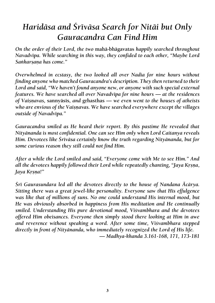### Haridāsa and Śrīvāsa Search for Nitāi but Only *Gauracandra Can Find Him*

*On the order of their Lord, the two* **mahä-bhägavatas** *happily searched throughout Navadvépa. While searching in this way, they confided to each other, "Maybe Lord*  **Sankarsana has come."** 

*Overwhelmed in ecstasy, the two looked all over Nadia for nine hours without finding anyone who matched Gauracandra's description. They then returned to their*  Lord and said, "We haven't found anyone new, or anyone with such special external *features. We have searched all over Navadvipa for nine hours — at the residences of Vaiñëavas,* **sannyäsés***, and* **gåhasthas** *— we even went to the houses of atheists*  who are envious of the Vaisnavas. We have searched everywhere except the villages *outside of Navadvépa."*

*Gauracandra smiled as He heard their report. By this pastime He revealed that Nityänanda is most confidential. One can see Him only when Lord Caitanya reveals Him. Devotees like Śrīvāsa certainly know the truth regarding Nityānanda, but for some curious reason they still could not find Him.*

*After a while the Lord smiled and said, "Everyone come with Me to see Him." And all the devotees happily followed their Lord while repeatedly chanting, "Jaya Krsna, Jaya Krsna!*"

*Çré Gaurasundara led all the devotees directly to the house of Nandana Äcärya. Sitting there was a great jewel-like personality. Everyone saw that His effulgence was like that of millions of suns. No one could understand His internal mood, but He was obviously absorbed in happiness from His meditation and He continually smiled. Understanding His pure devotional mood, Viçvambhara and the devotees offered Him obeisances. Everyone then simply stood there looking at Him in awe and reverence without speaking a word. After some time, Viçvambhara stepped directly in front of Nityänanda, who immediately recognized the Lord of His life.* **—** *Madhya-khanda 3.161-168, 171, 173-181*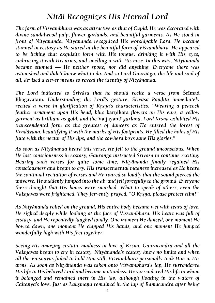#### *Nitäi Recognizes His Eternal Lord*

*The form of Viçvambhara was as attractive as that of Cupid. He was decorated with divine sandalwood pulp, flower garlands, and beautiful garments. As He stood in front of Nityänanda, Nityänanda recognized His worshipable Lord. He became stunned in ecstasy as He stared at the beautiful form of Viçvambhara. He appeared to be licking that exquisite form with His tongue, drinking it with His eyes, embracing it with His arms, and smelling it with His nose. In this way, Nityänanda became stunned — He neither spoke, nor did anything. Everyone there was astonished and didn't know what to do. And so Lord Gauräìga, the life and soul of all, devised a clever means to reveal the identity of Nityänanda.*

*The Lord indicated to Śrīvāsa that he should recite a verse from Śrīmad* Bhägavatam. Understanding the Lord's gesture, Srivasa Pandita immediately *recited a verse in glorification of Krsna's characteristics. "Wearing a peacock feather ornament upon His head, blue* **karëikära** *flowers on His ears, a yellow garment as brilliant as gold, and the* **Vaijayanté** *garland, Lord Kåñëa exhibited His transcendental form as the greatest of dancers as He entered the forest of Vrndāvana, beautifying it with the marks of His footprints. He filled the holes of His flute with the nectar of His lips, and the cowherd boys sang His glories."*

*As soon as Nityänanda heard this verse, He fell to the ground unconscious. When He lost consciousness in ecstasy, Gaurānga instructed Śrīvāsa to continue reciting. Hearing such verses for quite some time, Nityänanda finally regained His consciousness and began to cry. His transcendental madness increased as He heard the continual recitation of verses and He roared so loudly that the sound pierced the universe. He suddenly jumped into the air and fell forcefully to the ground. Everyone there thought that His bones were smashed. What to speak of others, even the Vaisnavas were frightened. They fervently prayed, "O Krsna, please protect Him!"* 

*As Nityänanda rolled on the ground, His entire body became wet with tears of love. He sighed deeply while looking at the face of Viçvambhara. His heart was full of ecstasy, and He repeatedly laughed loudly. One moment He danced, one moment He bowed down, one moment He clapped His hands, and one moment He jumped wonderfully high with His feet together.*

*Seeing His amazing ecstatic madness in love of Krsna, Gauracandra and all the Vaisnavas began to cry in ecstasy. Nityānanda's ecstasy knew no limits and when all the Vaiñëavas failed to hold Him still, Viçvambhara personally took Him in His arms. As soon as Nityänanda was taken onto Viçvambhara's lap, He surrendered His life to His beloved Lord and became motionless. He surrendered His life to whom it belonged and remained inert in His lap, although floating in the waters of Caitanya's love. Just as Laksmana remained in the lap of Rämacandra after being*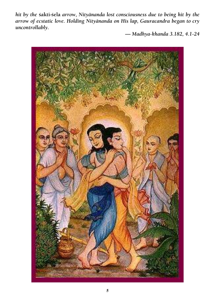*hit by the* **çakti-çela** *arrow, Nityänanda lost consciousness due to being hit by the arrow of ecstatic love. Holding Nityänanda on His lap, Gauracandra began to cry uncontrollably.*

**—** *Madhya-khanda 3.182, 4.1-24*

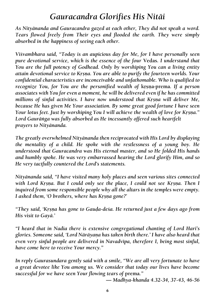#### *Gauracandra Glorifies His Nitäi*

*As Nityänanda and Gauracandra gazed at each other, They did not speak a word. Tears flowed freely from Their eyes and flooded the earth. They were simply absorbed in the happiness of seeing each other.*

*Viçvambhara said, "Today is an aupicious day for Me, for I have personally seen pure devotional service, which is the essence of the four* **Vedas***. I understand that You are the full potency of Godhead. Only by worshiping You can a living entity attain devotional service to Kåñëa. You are able to purify the fourteen worlds. Your confidential characteristics are inconceivable and unfathomable. Who is qualified to recognize You, for You are the personified wealth of krspa-prema. If a person associates with You for even a moment, he will be delivered even if he has committed millions of sinful activities. I have now understood that Krsna will deliver Me, because He has given Me Your association. By some great good fortune I have seen Your lotus feet. Just by worshiping You I will achieve the wealth of love for Krsna." Lord Gauräìga was fully absorbed as He incessantly offered such heartfelt prayers to Nityänanda.*

*The greatly overwhelmed Nityänanda then reciprocated with His Lord by displaying the mentality of a child. He spoke with the restlessness of a young boy. He understood that Gauracandra was His eternal master, and so He folded His hands and humbly spoke. He was very embarrassed hearing the Lord glorify Him, and so He very tactfully countered the Lord's statements.*

*Nityänanda said, "I have visited many holy places and seen various sites connected with Lord Krsna. But I could only see the place, I could not see Krsna. Then I inquired from some responsible people why all the altars in the temples were empty. I* asked them, *'O brothers, where has Krsna gone?'* 

*"They said, 'Kåñëa has gone to Gauòa-deça. He returned just a few days ago from His visit to Gayä.'*

*"I heard that in Nadia there is extensive congregational chanting of Lord Hari's glories. Someone said, 'Lord Näräyaëa has taken birth there.' I have also heard that even very sinful people are delivered in Navadvipa, therefore I, being most sinful, have come here to receive Your mercy."*

*In reply Gaurasundara gently said with a smile, "We are all very fortunate to have a great devotee like You among us. We consider that today our lives have become successful for we have seen Your flowing tears of* **prema***."*

**—** *Madhya-khanda 4.32-34, 37-43, 46-56*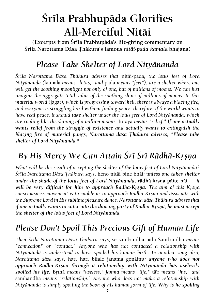# $\overline{\text{Sril}}$  Prabhupāda Glorifies **All-Merciful Nitäi**

**(Excerpts from Çréla Prabhupäda's life-giving commentary on Çréla Narottama Däsa Öhäkura's famous** *nitäi-pada kamala* **bhajana)**

#### *Please Take Shelter of Lord Nityänanda*

*Çréla Narottama Däsa Öhäkura advises that* nitäi-pada*, the lotus feet of Lord Nityänanda (*kamala *means "lotus," and* pada *means "feet"), are a shelter where one*  will get the soothing moonlight not only of one, but of millions of moons. We can just *imagine the aggregate total value of the soothing shine of millions of moons. In this material world (*jagat*), which is progressing toward hell, there is always a blazing fire, and everyone is struggling hard without finding peace; therefore, if the world wants to have real peace, it should take shelter under the lotus feet of Lord Nityänanda, which are cooling like the shining of a million moons.* Juräya *means "relief." If one actually wants relief from the struggle of existence and actually wants to extinguish the blazing fire of material pangs, Narottama däsa Öhäkura advises, "Please take shelter of Lord Nityänanda."*

#### *By His Mercy We Can Attain Çré Çré Rädhä-Kåñëa*

*What will be the result of accepting the shelter of the lotus feet of Lord Nityänanda? Çréla Narottama Däsa Öhäkura says*, heno nitäi bine bhäi*: unless one takes shelter under the shade of the lotus feet of Lord Nityānanda, rādhā-krsna pāite nāi* — *it will be very difficult for him to approach Rādhā-Krsna. The aim of this Krsna consciousness movement is to enable us to approach Rādhā-Krsna and associate with the Supreme Lord in His sublime pleasure dance. Narottama däsa Öhäkura advises that if one actually wants to enter into the dancing party of Rādhā-Krsna, he must accept the shelter of the lotus feet of Lord Nityänanda.*

### *Please Don't Spoil This Precious Gift of Human Life*

*Then Çréla Narottama Däsa Öhäkura says,* se sambandha nähi Sambandha *means "connection" or "contact." Anyone who has not contacted a relationship with Nityänanda is understood to have spoiled his human birth. In another song also, Narottama däsa says*, hari hari bifale janama goìäinu*: anyone who does not approach Rädhä-Kåñëa through a relationship with Nityänanda has uselessly spoiled his life.* Båthä *means "useless," janma means "life,"* tä'r *means "his," and*  sambandha *means "relationship." Anyone who does not make a relationship with Nityänanda is simply spoiling the boon of his human form of life. Why is he spoiling*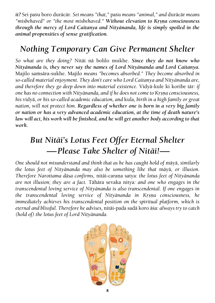*it?* Sei paçu boro duräcär*. Sei means "that,"* paçu *means "animal," and* duräcär *means*  "misbehaved" or "the most misbehaved." Without elevation to Krsna consciousness *through the mercy of Lord Caitanya and Nityänanda, life is simply spoiled in the animal propensities of sense gratification.* 

#### *Nothing Temporary Can Give Permanent Shelter*

*So what are they doing?* Nitäi nä bolilo mukhe*. Since they do not know who Nityänanda is, they never say the names of Lord Nityänanda and Lord Caitanya.*  Majilo samsāra-sukhe. Majilo *means "becomes absorbed." They become absorbed in so-called material enjoyment. They don't care who Lord Caitanya and Nityänanda are, and therefore they go deep down into material existence.* Vidyä-kule ki koribe tär*: if one has no connection with Nityānanda, and if he does not come to Krsna consciousness, his* vidyä*, or his so-called academic education, and* kula*, birth in a high family or great nation, will not protect him. Regardless of whether one is born in a very big family or nation or has a very advanced academic education, at the time of death nature's*  law will act, his work will be finished, and he will get another body according to that *work.*

### *But Nitäi's Lotus Feet Offer Eternal Shelter Please Take Shelter of Nitäi!*<sup>⎯</sup>

*One should not misunderstand and think that as he has caught hold of* mäyä*, similarly the lotus feet of Nityänanda may also be something like that* mäyä*, or illusion. Therefore Narottama dāsa confirms, nitāi-carana satya: the lotus feet of Nityānanda are not illusion; they are a fact.* Tähära sevaka nitya*: and one who engages in the transcendental loving service of Nityänanda is also transcendental. If one engages in the transcendental loving service of Nityānanda in Krsna consciousness, he immediately achieves his transcendental position on the spiritual platform, which is eternal and blissful. Therefore he advises,* nitäi-pada sadä koro äça*: always try to catch (hold of) the lotus feet of Lord Nityänanda.*

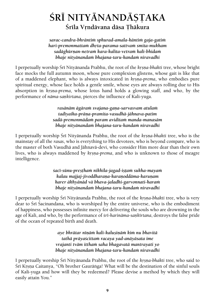#### **ŚRĪ NITYĀNANDĀȘȚAKA Çréla Våndävana däsa Öhäkura**

*sarac-candra-bhräntià sphurad-amala-käntià gaja-gatià hari-premonmattaà dhåta-parama-sattvaà smita-mukham* sadāghūrnan-netram kara-kalita-vetram kali-bhidam *bhaje nityänandaà bhajana-taru-kandaà niravadhi*

I perpetually worship Śrī Nityānanda Prabhu, the root of the *krsna-bhakti* tree, whose bright face mocks the full autumn moon, whose pure complexion glistens, whose gait is like that of a maddened elephant, who is always intoxicated in *krsna-prema*, who embodies pure spiritual energy, whose face holds a gentle smile, whose eyes are always rolling due to His absorption in *krsna-prema*, whose lotus hand holds a glowing staff, and who, by the performance of *nāma-sankirtana*, pierces the influence of Kali-yuga.

> *rasänäm ägäraà svajana-gaëa-sarvasvam atulaà tadéyaika-präëa-pramita-vasudhä-jähnava-patim sadä-premonmädaà param aviditaà manda-manasäm bhaje nityänandaà bhajana-taru-kandaà niravadhi*

I perpetually worship Śrī Nityānanda Prabhu, the root of the *krsna-bhakti* tree, who is the mainstay of all the *rasas*, who is everything to His devotees, who is beyond compare, who is the master of both Vasudhä and Jähnavä-devi, who consider Him more dear than their own lives, who is always maddened by *krsna-prema*, and who is unknown to those of meagre intelligence.

> *çacé-sünu-preñöhaà nikhila-jagad-iñöaà sukha-mayaà kalau majjaj-jivoddharana-karanoddāma-karunam harer äkhyänäd vä bhava-jaladhi-garvonnati-haraà bhaje nityänandaà bhajana-taru-kandaà niravadhi*

I perpetually worship Srī Nityānanda Prabhu, the root of the *krsna-bhakti* tree, who is very dear to Śrī Śacinandana, who is worshiped by the entire universe, who is the embodiment of happiness, who possesses infinite mercy for delivering the souls who are drowning in the age of Kali, and who, by the performance of *śri-harināma-sankīrtana*, destroys the false pride of the ocean of repeated birth and death.

> *aye bhrätar néëäà kali-kaluñiëäà kià nu bhavitä tathä präyaçcittaà racaya yad-anäyäsata ime vrajanti tväm itthaà saha bhagavatä mantrayati yo bhaje nityänandaà bhajana-taru-kandaà niravadhi*

I perpetually worship Srī Nityānanda Prabhu, the root of the *krsna-bhakti* tree, who said to Śrī Krsna Caitanya, "Oh brother Gaurānga! What will be the destination of the sinful souls of Kali-yuga and how will they be redeemed? Please devise a method by which they will easily attain You."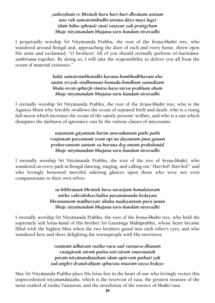#### *yatheñöhaà re bhrätaù kuru hari-hari-dhvänam aniçaà tato vaù saàsärämbudhi-taraëa-däyo mayi laget idam bāhu-sphotair atati ratayan yah pratigrham bhaje nityänandaà bhajana-taru-kandaà niravadhi*

I perpetually worship Srī Nityānanda Prabhu, the root of the *krsna-bhakti* tree, who wandered around Bengal and, approaching the door of each and every home, threw open His arms and exclaimed, "O brothers! All of you should eternally perform *śrī-harināmasaìkértana* together. By doing so, I will take the responsibility to deliver you all from the ocean of material existence."

#### *balät saàsärämbhonidhi-harana-kumbhodbhavam aho* satām śreyah-sindhūnnati-kumuda-bandhum samuditam *khala-çreëé-sphürjit-timira-hara-sürya-prabham ahaà bhaje nityänandaà bhajana-taru-kandaà niravadhi*

I eternally worship Srī Nityānanda Prabhu, the root of the *krsna-bhakti* tree, who is the Agastya Muni who forcibly swallows the ocean of repeated birth and death, who is a rising full moon which increases the ocean of the saintly persons' welfare, and who is a sun which dissipates the darkness of ignorance cast by the various classes of miscreants.

#### *naöantaà gäyantaà harim anuvadantaà pathi pathi vrajantaà paçyantaà svam api na dayantaà jana-gaëam prakurvantaà santaà sa-karuëa-dåg-antaà prakalanäd bhaje nityänandaà bhajana-taru-kandaà niravadhi*

I eternally worship Śrī Nityānanda Prabhu, the root of the tree of *krsna-bhakti*, who wandered on every path in Bengal dancing, singing, and calling out "*Hari bol*! *Hari bol*!" and who lovingly bestowed merciful sidelong glances upon those who were not even compassionate to their own selves.

#### *su-bibhräëaà bhrätuù kara-sarasijaà komalataraà* mitho vaktrālokocchalita-paramānanda-hrdayam *bhramantaà mädhuryair ahaha madayantaà pura-janän bhaje nityänandaà bhajana-taru-kandaà niravadhi*

I eternally worship Sri Nityānanda Prabhu, the root of the *krsna-bhakti* tree, who held the supremely soft lotus-hand of His brother Śrī Gaurānga Mahāprabhu, whose heart became filled with the highest bliss when the two brothers gazed into each other's eyes, and who wandered here and there delighting the townspeople with His sweetness.

#### *rasänäà ädhäraà rasika-vara-sad-vaiñëava-dhanaà rasägäraà säraà patita-tati-täraà smaraëataù paraà nityänandäñöakam idam apürvaà pathati yaù* tad-anghri-dvandvābjam sphuratu nitarām tasya hrdaye

May Śrī Nityānanda Prabhu place His lotus feet in the heart of one who lovingly recites this unprecedented *nityānandāstaka*, which is the reservoir of *rasa*, the greatest treasure of the most exalted of *rasika* Vaisnavas, and the storehouse of the essence of *bhakti-rasa*.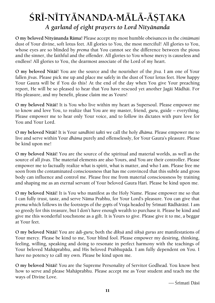### ŚRĪ-NĪTYĀNANDA-MĀLĀ-ĀȘTAKA *A garland of eight prayers to Lord Nétyänanda*

**O my beloved Nétyänanda Räma!** Please accept my most humble obeisances in the *cintämaëi*  dust of Your divine, soft lotus feet. All glories to You, the most merciful! All glories to You, whose eyes are so blinded by *prema* that You cannot see the difference between the pious and the sinner, the faithful and the offender. All glories to You whose mercy is causeless and endless! All glories to You, the dearmost associate of the Lord of my heart.

**O my beloved Nitäi!** You are the source and the nourisher of the *jéva*. I am one of Your fallen *jivas*. Please pick me up and place me safely in the dust of Your lotus feet. How happy Your Gaura will be if You do this! At the end of the day when You give Your preaching report, He will be so pleased to hear that You have rescued yet another Jagäi Mädhäi. For His pleasure, and my benefit, please claim me as Yours!

**O my beloved Nitäi!** It is You who live within my heart as Supersoul. Please empower me to know and love You, to realize that You are my master, friend, *guru*, guide – everything. Please empower me to hear only Your voice, and to follow its dictates with pure love for You and Your Lord.

**O my beloved Nitäi!** It is Your *sandhiné çakti* we call the holy *dhäma*. Please empower me to live and serve within Your *dhäma* purely and offenselessly, for Your Gaura's pleasure. Please be kind upon me!

**O my beloved Nitäi!** You are the source of the spiritual and material worlds, as well as the source of all *jévas*. The material elements are also Yours, and You are their controller. Please empower me to factually realize what is spirit, what is matter, and who I am. Please free me soon from the contaminated consciousness that has me convinced that this subtle and gross body can influence and control me. Please free me from material consciousness by training and shaping me as an eternal servant of Your beloved Gaura Hari. Please be kind upon me.

**O my beloved Nitäi!** It is You who manifest as the Holy Name. Please empower me so that I can fully trust, taste, and serve Näma Prabhu, for Your Lord's pleasure. You can give that *prema* which follows in the footsteps of the *gop* is of Vraja headed by Śrimati Rādhārāni. I am so greedy for this treasure, but I don't have enough wealth to purchase it. Please be kind and give me this wonderful touchstone as a gift. It is Yours to give. Please give it to me, a beggar at Your feet.

**O my beloved Nitäi!** You are *ädi-guru*; both the *dékñä* and *çikñä gurus* are manifestations of Your mercy. Please be kind to me, Your blind fool. Please empower my desiring, thinking, feeling, willing, speaking and doing to resonate in perfect harmony with the teachings of Your beloved Mahäprabhu, and His beloved Prabhupäda. I am fully dependent on You. I have no potency to call my own. Please be kind upon me.

**O my beloved Nitäi!** You are the Supreme Personality of Servitor Godhead. You know best how to serve and please Mahäprabhu. Please accept me as Your student and teach me the ways of Divine Love.

- Śrīmatī Dāsī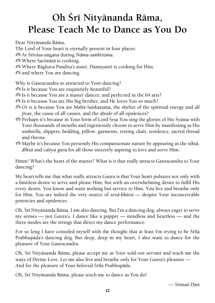## **Oh Çré Nityänanda Räma, Please Teach Me to Dance as You Do**

Dear Nityänanda Räma,

The Lord of Your heart is eternally present in four places:

At Çréväsa-aìgana during *Näma-saìkértana*.

 $\mathbb{Z}^3$  Where Sacimata is cooking.

**&& Where Rāghava Pandita's sister, Damayantī is cooking for Him.** 

 $\mathbb{Z}^2$  and where You are dancing.

Why is Gauracandra so attracted to Your dancing?

**Is it because You are exquisitely beautiful?** 

Is it because You are a master dancer, and perfected in the 64 arts?

Is it because You are His big brother, and He loves You so much?

- $\mathbb{S}^{\mathbb{S}}$  Or is it because You are Mahā-Sankarṣaṇa, the shelter of the spiritual energy and all *jivas*, the cause of all causes, and the abode of all opulences?
- **Example Perhaps it's because in Your form of Lord Sesa You sing the glories of His Syama with** Your thousands of mouths and ingeniously choose to serve Him by manifesting as His umbrella, slippers, bedding, pillow, garments, resting chair, residence, sacred thread and throne.
- $\mathbb{S}\$  Maybe it's because You personify His compassionate nature by appearing as the *siks* $\bar{a}$ , *diksā and caitya guru for all those sincerely aspiring to love and serve Him.*

Hmm! What's the heart of the matter? What is it that really attracts Gauracandra to Your dancing?

My heart tells me that what really attracts Gaura is that Your heart pulsates not only with a limitless desire to serve and please Him, but with an overwhelming desire to fulfil His every desire. You know and want nothing but service to Him. You live and breathe only for Him. You are indeed the very source of *sevä-bhäva* — despite Your inconceivable potencies and opulences.

Oh, Śrī Nityānanda Rāma, I am also dancing. But I'm a dancing dog, always eager to serve my senses — not Gaura's. I dance like a puppet — mindless and heartless — and the three modes are the strings that direct my dance performance.

For so long I have consoled myself with the thought that at least I'm trying to be Srila Prabhupäda's dancing dog. But deep, deep in my heart, I also want to dance for the pleasure of Your Gauracandra.

Oh, Šrī Nityānanda Rāma, please accept me as Your sold-out servant and teach me the ways of Divine Love. Let me also live and breathe only for Your Gaura's pleasure -And for the pleasure of Your beloved Srila Prabhupāda.

Oh, Śrī Nityānanda Rāma, please teach me to dance as You do!

— Śrīmatī Dāsī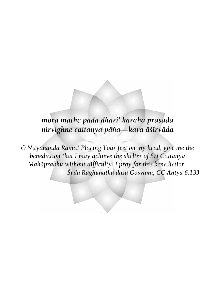#### mora māthe pada dhari' karaha prasāda nirvighne caitanya pāṅa—kara āśīrvāda

O Nityānanda Rāma! Placing Your feet on my head, give me the benediction that I may achieve the shelter of Srī Caitanya Mahāprabhu without difficulty. I pray for this benediction. - Śrīla Raghunātha dāsa Gosvāmī, CC Antya 6.133